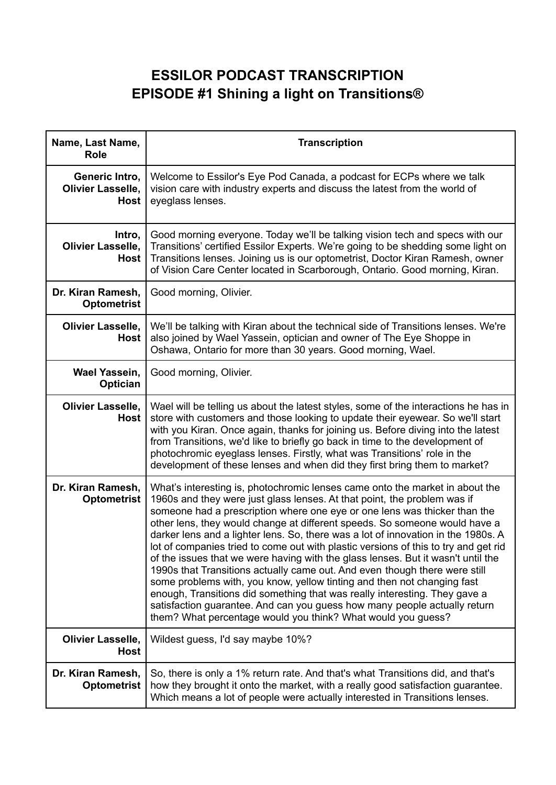## **ESSILOR PODCAST TRANSCRIPTION EPISODE #1 Shining a light on Transitions®**

| Name, Last Name,<br><b>Role</b>                           | <b>Transcription</b>                                                                                                                                                                                                                                                                                                                                                                                                                                                                                                                                                                                                                                                                                                                                                                                                                                                                                                                                                    |
|-----------------------------------------------------------|-------------------------------------------------------------------------------------------------------------------------------------------------------------------------------------------------------------------------------------------------------------------------------------------------------------------------------------------------------------------------------------------------------------------------------------------------------------------------------------------------------------------------------------------------------------------------------------------------------------------------------------------------------------------------------------------------------------------------------------------------------------------------------------------------------------------------------------------------------------------------------------------------------------------------------------------------------------------------|
| Generic Intro,<br><b>Olivier Lasselle,</b><br><b>Host</b> | Welcome to Essilor's Eye Pod Canada, a podcast for ECPs where we talk<br>vision care with industry experts and discuss the latest from the world of<br>eyeglass lenses.                                                                                                                                                                                                                                                                                                                                                                                                                                                                                                                                                                                                                                                                                                                                                                                                 |
| Intro,<br><b>Olivier Lasselle,</b><br><b>Host</b>         | Good morning everyone. Today we'll be talking vision tech and specs with our<br>Transitions' certified Essilor Experts. We're going to be shedding some light on<br>Transitions lenses. Joining us is our optometrist, Doctor Kiran Ramesh, owner<br>of Vision Care Center located in Scarborough, Ontario. Good morning, Kiran.                                                                                                                                                                                                                                                                                                                                                                                                                                                                                                                                                                                                                                        |
| Dr. Kiran Ramesh,<br><b>Optometrist</b>                   | Good morning, Olivier.                                                                                                                                                                                                                                                                                                                                                                                                                                                                                                                                                                                                                                                                                                                                                                                                                                                                                                                                                  |
| <b>Olivier Lasselle,</b><br><b>Host</b>                   | We'll be talking with Kiran about the technical side of Transitions lenses. We're<br>also joined by Wael Yassein, optician and owner of The Eye Shoppe in<br>Oshawa, Ontario for more than 30 years. Good morning, Wael.                                                                                                                                                                                                                                                                                                                                                                                                                                                                                                                                                                                                                                                                                                                                                |
| <b>Wael Yassein,</b><br><b>Optician</b>                   | Good morning, Olivier.                                                                                                                                                                                                                                                                                                                                                                                                                                                                                                                                                                                                                                                                                                                                                                                                                                                                                                                                                  |
| <b>Olivier Lasselle,</b><br><b>Host</b>                   | Wael will be telling us about the latest styles, some of the interactions he has in<br>store with customers and those looking to update their eyewear. So we'll start<br>with you Kiran. Once again, thanks for joining us. Before diving into the latest<br>from Transitions, we'd like to briefly go back in time to the development of<br>photochromic eyeglass lenses. Firstly, what was Transitions' role in the<br>development of these lenses and when did they first bring them to market?                                                                                                                                                                                                                                                                                                                                                                                                                                                                      |
| Dr. Kiran Ramesh,<br><b>Optometrist</b>                   | What's interesting is, photochromic lenses came onto the market in about the<br>1960s and they were just glass lenses. At that point, the problem was if<br>someone had a prescription where one eye or one lens was thicker than the<br>other lens, they would change at different speeds. So someone would have a<br>darker lens and a lighter lens. So, there was a lot of innovation in the 1980s. A<br>lot of companies tried to come out with plastic versions of this to try and get rid<br>of the issues that we were having with the glass lenses. But it wasn't until the<br>1990s that Transitions actually came out. And even though there were still<br>some problems with, you know, yellow tinting and then not changing fast<br>enough, Transitions did something that was really interesting. They gave a<br>satisfaction guarantee. And can you guess how many people actually return<br>them? What percentage would you think? What would you guess? |
| <b>Olivier Lasselle,</b><br><b>Host</b>                   | Wildest guess, I'd say maybe 10%?                                                                                                                                                                                                                                                                                                                                                                                                                                                                                                                                                                                                                                                                                                                                                                                                                                                                                                                                       |
| Dr. Kiran Ramesh,<br><b>Optometrist</b>                   | So, there is only a 1% return rate. And that's what Transitions did, and that's<br>how they brought it onto the market, with a really good satisfaction guarantee.<br>Which means a lot of people were actually interested in Transitions lenses.                                                                                                                                                                                                                                                                                                                                                                                                                                                                                                                                                                                                                                                                                                                       |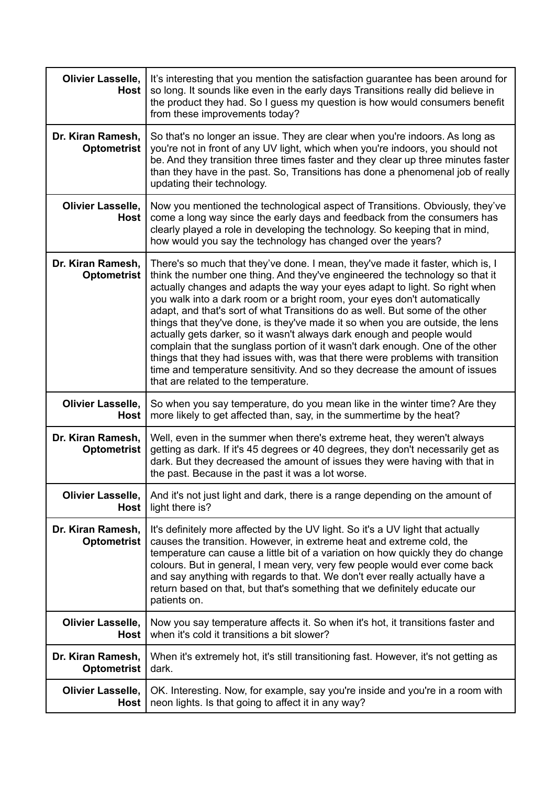| <b>Olivier Lasselle,</b><br>Host        | It's interesting that you mention the satisfaction guarantee has been around for<br>so long. It sounds like even in the early days Transitions really did believe in<br>the product they had. So I guess my question is how would consumers benefit<br>from these improvements today?                                                                                                                                                                                                                                                                                                                                                                                                                                                                                                                                                                            |
|-----------------------------------------|------------------------------------------------------------------------------------------------------------------------------------------------------------------------------------------------------------------------------------------------------------------------------------------------------------------------------------------------------------------------------------------------------------------------------------------------------------------------------------------------------------------------------------------------------------------------------------------------------------------------------------------------------------------------------------------------------------------------------------------------------------------------------------------------------------------------------------------------------------------|
| Dr. Kiran Ramesh.<br><b>Optometrist</b> | So that's no longer an issue. They are clear when you're indoors. As long as<br>you're not in front of any UV light, which when you're indoors, you should not<br>be. And they transition three times faster and they clear up three minutes faster<br>than they have in the past. So, Transitions has done a phenomenal job of really<br>updating their technology.                                                                                                                                                                                                                                                                                                                                                                                                                                                                                             |
| <b>Olivier Lasselle,</b><br>Host        | Now you mentioned the technological aspect of Transitions. Obviously, they've<br>come a long way since the early days and feedback from the consumers has<br>clearly played a role in developing the technology. So keeping that in mind,<br>how would you say the technology has changed over the years?                                                                                                                                                                                                                                                                                                                                                                                                                                                                                                                                                        |
| Dr. Kiran Ramesh,<br><b>Optometrist</b> | There's so much that they've done. I mean, they've made it faster, which is, I<br>think the number one thing. And they've engineered the technology so that it<br>actually changes and adapts the way your eyes adapt to light. So right when<br>you walk into a dark room or a bright room, your eyes don't automatically<br>adapt, and that's sort of what Transitions do as well. But some of the other<br>things that they've done, is they've made it so when you are outside, the lens<br>actually gets darker, so it wasn't always dark enough and people would<br>complain that the sunglass portion of it wasn't dark enough. One of the other<br>things that they had issues with, was that there were problems with transition<br>time and temperature sensitivity. And so they decrease the amount of issues<br>that are related to the temperature. |
| <b>Olivier Lasselle,</b><br><b>Host</b> | So when you say temperature, do you mean like in the winter time? Are they<br>more likely to get affected than, say, in the summertime by the heat?                                                                                                                                                                                                                                                                                                                                                                                                                                                                                                                                                                                                                                                                                                              |
| Dr. Kiran Ramesh,<br><b>Optometrist</b> | Well, even in the summer when there's extreme heat, they weren't always<br>getting as dark. If it's 45 degrees or 40 degrees, they don't necessarily get as<br>dark. But they decreased the amount of issues they were having with that in<br>the past. Because in the past it was a lot worse.                                                                                                                                                                                                                                                                                                                                                                                                                                                                                                                                                                  |
| Olivier Lasselle,<br><b>Host</b>        | And it's not just light and dark, there is a range depending on the amount of<br>light there is?                                                                                                                                                                                                                                                                                                                                                                                                                                                                                                                                                                                                                                                                                                                                                                 |
| Dr. Kiran Ramesh,<br><b>Optometrist</b> | It's definitely more affected by the UV light. So it's a UV light that actually<br>causes the transition. However, in extreme heat and extreme cold, the<br>temperature can cause a little bit of a variation on how quickly they do change<br>colours. But in general, I mean very, very few people would ever come back<br>and say anything with regards to that. We don't ever really actually have a<br>return based on that, but that's something that we definitely educate our<br>patients on.                                                                                                                                                                                                                                                                                                                                                            |
| <b>Olivier Lasselle,</b><br><b>Host</b> | Now you say temperature affects it. So when it's hot, it transitions faster and<br>when it's cold it transitions a bit slower?                                                                                                                                                                                                                                                                                                                                                                                                                                                                                                                                                                                                                                                                                                                                   |
| Dr. Kiran Ramesh,<br><b>Optometrist</b> | When it's extremely hot, it's still transitioning fast. However, it's not getting as<br>dark.                                                                                                                                                                                                                                                                                                                                                                                                                                                                                                                                                                                                                                                                                                                                                                    |
| <b>Olivier Lasselle,</b><br><b>Host</b> | OK. Interesting. Now, for example, say you're inside and you're in a room with<br>neon lights. Is that going to affect it in any way?                                                                                                                                                                                                                                                                                                                                                                                                                                                                                                                                                                                                                                                                                                                            |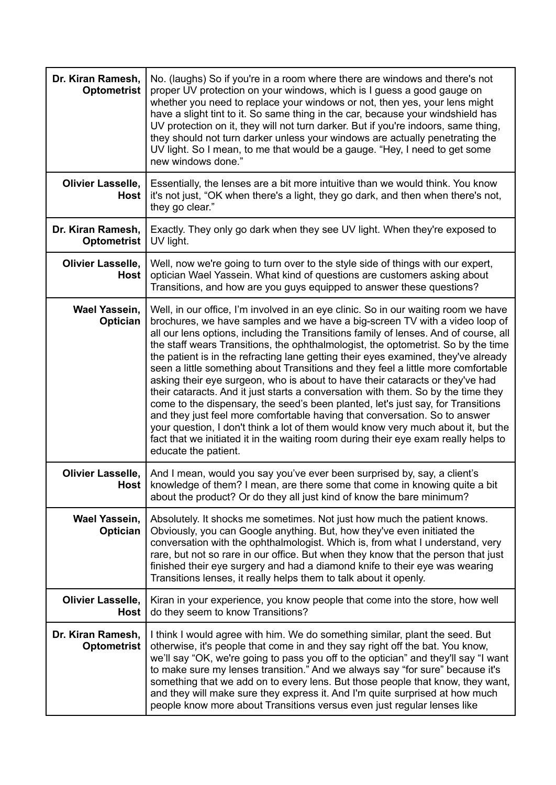| Dr. Kiran Ramesh,<br><b>Optometrist</b> | No. (laughs) So if you're in a room where there are windows and there's not<br>proper UV protection on your windows, which is I guess a good gauge on<br>whether you need to replace your windows or not, then yes, your lens might<br>have a slight tint to it. So same thing in the car, because your windshield has<br>UV protection on it, they will not turn darker. But if you're indoors, same thing,<br>they should not turn darker unless your windows are actually penetrating the<br>UV light. So I mean, to me that would be a gauge. "Hey, I need to get some<br>new windows done."                                                                                                                                                                                                                                                                                                                                                                                                                                                                      |
|-----------------------------------------|-----------------------------------------------------------------------------------------------------------------------------------------------------------------------------------------------------------------------------------------------------------------------------------------------------------------------------------------------------------------------------------------------------------------------------------------------------------------------------------------------------------------------------------------------------------------------------------------------------------------------------------------------------------------------------------------------------------------------------------------------------------------------------------------------------------------------------------------------------------------------------------------------------------------------------------------------------------------------------------------------------------------------------------------------------------------------|
| <b>Olivier Lasselle,</b><br><b>Host</b> | Essentially, the lenses are a bit more intuitive than we would think. You know<br>it's not just, "OK when there's a light, they go dark, and then when there's not,<br>they go clear."                                                                                                                                                                                                                                                                                                                                                                                                                                                                                                                                                                                                                                                                                                                                                                                                                                                                                |
| Dr. Kiran Ramesh,<br><b>Optometrist</b> | Exactly. They only go dark when they see UV light. When they're exposed to<br>UV light.                                                                                                                                                                                                                                                                                                                                                                                                                                                                                                                                                                                                                                                                                                                                                                                                                                                                                                                                                                               |
| <b>Olivier Lasselle,</b><br><b>Host</b> | Well, now we're going to turn over to the style side of things with our expert,<br>optician Wael Yassein. What kind of questions are customers asking about<br>Transitions, and how are you guys equipped to answer these questions?                                                                                                                                                                                                                                                                                                                                                                                                                                                                                                                                                                                                                                                                                                                                                                                                                                  |
| <b>Wael Yassein,</b><br>Optician        | Well, in our office, I'm involved in an eye clinic. So in our waiting room we have<br>brochures, we have samples and we have a big-screen TV with a video loop of<br>all our lens options, including the Transitions family of lenses. And of course, all<br>the staff wears Transitions, the ophthalmologist, the optometrist. So by the time<br>the patient is in the refracting lane getting their eyes examined, they've already<br>seen a little something about Transitions and they feel a little more comfortable<br>asking their eye surgeon, who is about to have their cataracts or they've had<br>their cataracts. And it just starts a conversation with them. So by the time they<br>come to the dispensary, the seed's been planted, let's just say, for Transitions<br>and they just feel more comfortable having that conversation. So to answer<br>your question, I don't think a lot of them would know very much about it, but the<br>fact that we initiated it in the waiting room during their eye exam really helps to<br>educate the patient. |
| Olivier Lasselle,                       | And I mean, would you say you've ever been surprised by, say, a client's<br>Host   knowledge of them? I mean, are there some that come in knowing quite a bit<br>about the product? Or do they all just kind of know the bare minimum?                                                                                                                                                                                                                                                                                                                                                                                                                                                                                                                                                                                                                                                                                                                                                                                                                                |
| <b>Wael Yassein,</b><br>Optician        | Absolutely. It shocks me sometimes. Not just how much the patient knows.<br>Obviously, you can Google anything. But, how they've even initiated the<br>conversation with the ophthalmologist. Which is, from what I understand, very<br>rare, but not so rare in our office. But when they know that the person that just<br>finished their eye surgery and had a diamond knife to their eye was wearing<br>Transitions lenses, it really helps them to talk about it openly.                                                                                                                                                                                                                                                                                                                                                                                                                                                                                                                                                                                         |
| <b>Olivier Lasselle,</b><br><b>Host</b> | Kiran in your experience, you know people that come into the store, how well<br>do they seem to know Transitions?                                                                                                                                                                                                                                                                                                                                                                                                                                                                                                                                                                                                                                                                                                                                                                                                                                                                                                                                                     |
| Dr. Kiran Ramesh,<br><b>Optometrist</b> | I think I would agree with him. We do something similar, plant the seed. But<br>otherwise, it's people that come in and they say right off the bat. You know,<br>we'll say "OK, we're going to pass you off to the optician" and they'll say "I want<br>to make sure my lenses transition." And we always say "for sure" because it's<br>something that we add on to every lens. But those people that know, they want,<br>and they will make sure they express it. And I'm quite surprised at how much<br>people know more about Transitions versus even just regular lenses like                                                                                                                                                                                                                                                                                                                                                                                                                                                                                    |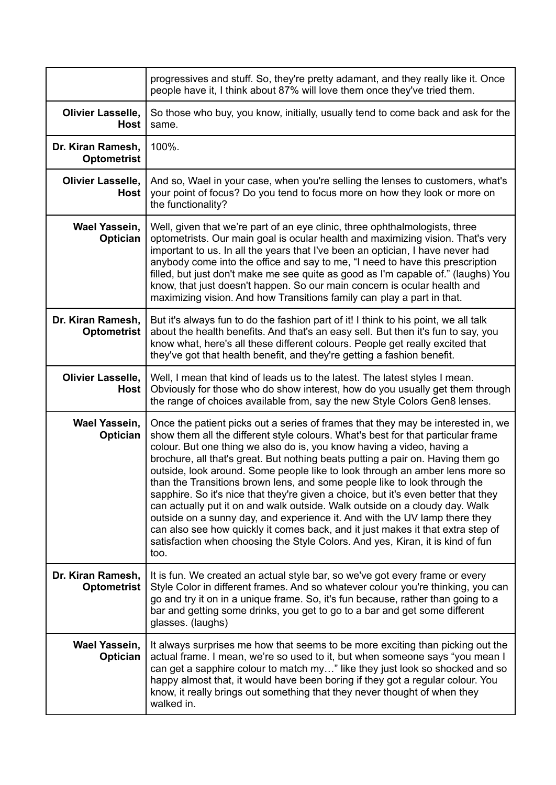|                                         | progressives and stuff. So, they're pretty adamant, and they really like it. Once<br>people have it, I think about 87% will love them once they've tried them.                                                                                                                                                                                                                                                                                                                                                                                                                                                                                                                                                                                                                                                                                                                                                                 |
|-----------------------------------------|--------------------------------------------------------------------------------------------------------------------------------------------------------------------------------------------------------------------------------------------------------------------------------------------------------------------------------------------------------------------------------------------------------------------------------------------------------------------------------------------------------------------------------------------------------------------------------------------------------------------------------------------------------------------------------------------------------------------------------------------------------------------------------------------------------------------------------------------------------------------------------------------------------------------------------|
| <b>Olivier Lasselle,</b><br><b>Host</b> | So those who buy, you know, initially, usually tend to come back and ask for the<br>same.                                                                                                                                                                                                                                                                                                                                                                                                                                                                                                                                                                                                                                                                                                                                                                                                                                      |
| Dr. Kiran Ramesh,<br><b>Optometrist</b> | 100%.                                                                                                                                                                                                                                                                                                                                                                                                                                                                                                                                                                                                                                                                                                                                                                                                                                                                                                                          |
| <b>Olivier Lasselle,</b><br><b>Host</b> | And so, Wael in your case, when you're selling the lenses to customers, what's<br>your point of focus? Do you tend to focus more on how they look or more on<br>the functionality?                                                                                                                                                                                                                                                                                                                                                                                                                                                                                                                                                                                                                                                                                                                                             |
| <b>Wael Yassein,</b><br>Optician        | Well, given that we're part of an eye clinic, three ophthalmologists, three<br>optometrists. Our main goal is ocular health and maximizing vision. That's very<br>important to us. In all the years that I've been an optician, I have never had<br>anybody come into the office and say to me, "I need to have this prescription<br>filled, but just don't make me see quite as good as I'm capable of." (laughs) You<br>know, that just doesn't happen. So our main concern is ocular health and<br>maximizing vision. And how Transitions family can play a part in that.                                                                                                                                                                                                                                                                                                                                                   |
| Dr. Kiran Ramesh,<br><b>Optometrist</b> | But it's always fun to do the fashion part of it! I think to his point, we all talk<br>about the health benefits. And that's an easy sell. But then it's fun to say, you<br>know what, here's all these different colours. People get really excited that<br>they've got that health benefit, and they're getting a fashion benefit.                                                                                                                                                                                                                                                                                                                                                                                                                                                                                                                                                                                           |
| <b>Olivier Lasselle,</b><br>Host        | Well, I mean that kind of leads us to the latest. The latest styles I mean.<br>Obviously for those who do show interest, how do you usually get them through<br>the range of choices available from, say the new Style Colors Gen8 lenses.                                                                                                                                                                                                                                                                                                                                                                                                                                                                                                                                                                                                                                                                                     |
| <b>Wael Yassein,</b><br>Optician        | Once the patient picks out a series of frames that they may be interested in, we<br>show them all the different style colours. What's best for that particular frame<br>colour. But one thing we also do is, you know having a video, having a<br>brochure, all that's great. But nothing beats putting a pair on. Having them go<br>outside, look around. Some people like to look through an amber lens more so<br>than the Transitions brown lens, and some people like to look through the<br>sapphire. So it's nice that they're given a choice, but it's even better that they<br>can actually put it on and walk outside. Walk outside on a cloudy day. Walk<br>outside on a sunny day, and experience it. And with the UV lamp there they<br>can also see how quickly it comes back, and it just makes it that extra step of<br>satisfaction when choosing the Style Colors. And yes, Kiran, it is kind of fun<br>too. |
| Dr. Kiran Ramesh,<br><b>Optometrist</b> | It is fun. We created an actual style bar, so we've got every frame or every<br>Style Color in different frames. And so whatever colour you're thinking, you can<br>go and try it on in a unique frame. So, it's fun because, rather than going to a<br>bar and getting some drinks, you get to go to a bar and get some different<br>glasses. (laughs)                                                                                                                                                                                                                                                                                                                                                                                                                                                                                                                                                                        |
| <b>Wael Yassein,</b><br>Optician        | It always surprises me how that seems to be more exciting than picking out the<br>actual frame. I mean, we're so used to it, but when someone says "you mean I<br>can get a sapphire colour to match my" like they just look so shocked and so<br>happy almost that, it would have been boring if they got a regular colour. You<br>know, it really brings out something that they never thought of when they<br>walked in.                                                                                                                                                                                                                                                                                                                                                                                                                                                                                                    |